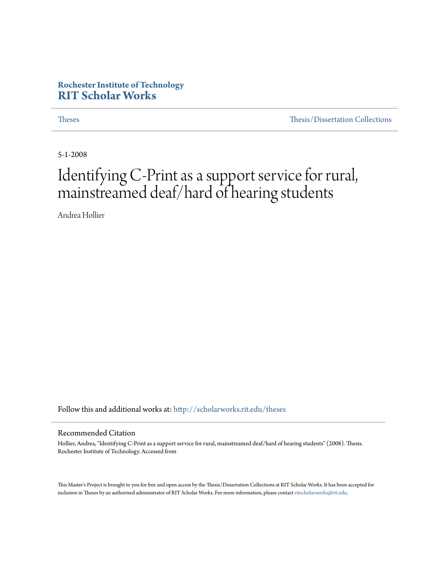### **Rochester Institute of Technology [RIT Scholar Works](http://scholarworks.rit.edu?utm_source=scholarworks.rit.edu%2Ftheses%2F4478&utm_medium=PDF&utm_campaign=PDFCoverPages)**

[Theses](http://scholarworks.rit.edu/theses?utm_source=scholarworks.rit.edu%2Ftheses%2F4478&utm_medium=PDF&utm_campaign=PDFCoverPages) [Thesis/Dissertation Collections](http://scholarworks.rit.edu/etd_collections?utm_source=scholarworks.rit.edu%2Ftheses%2F4478&utm_medium=PDF&utm_campaign=PDFCoverPages)

5-1-2008

## Identifying C-Print as a support service for rural, mainstreamed deaf/hard of hearing students

Andrea Hollier

Follow this and additional works at: [http://scholarworks.rit.edu/theses](http://scholarworks.rit.edu/theses?utm_source=scholarworks.rit.edu%2Ftheses%2F4478&utm_medium=PDF&utm_campaign=PDFCoverPages)

#### Recommended Citation

Hollier, Andrea, "Identifying C-Print as a support service for rural, mainstreamed deaf/hard of hearing students" (2008). Thesis. Rochester Institute of Technology. Accessed from

This Master's Project is brought to you for free and open access by the Thesis/Dissertation Collections at RIT Scholar Works. It has been accepted for inclusion in Theses by an authorized administrator of RIT Scholar Works. For more information, please contact [ritscholarworks@rit.edu](mailto:ritscholarworks@rit.edu).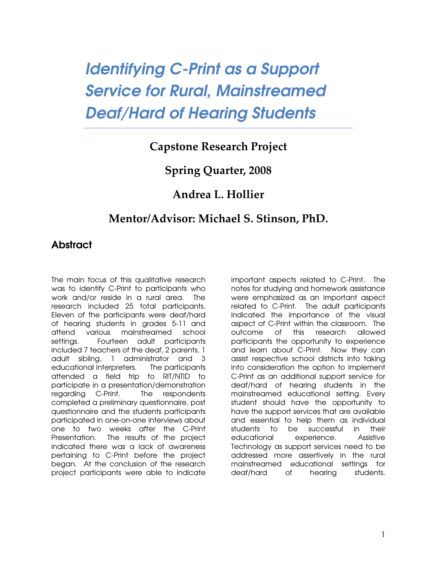# Identifying C-Print as a Support Service for Rural, Mainstreamed Deaf/Hard of Hearing Students

### Capstone Research Project

### Spring Quarter, 2008

### Andrea L. Hollier

### Mentor/Advisor: Michael S. Stinson, PhD.

### Abstract

The main focus of this qualitative research was to identify C-Print to participants who work and/or reside in a rural area. The research included 25 total participants. Eleven of the participants were deaf/hard of hearing students in grades 5-11 and attend various mainstreamed school settings. Fourteen adult participants included 7 teachers of the deaf, 2 parents, 1 adult sibling, 1 administrator and 3 educational interpreters. The participants attended a field trip to RIT/NTID to participate in a presentation/demonstration regarding C-Print. The respondents completed a preliminary questionnaire, post questionnaire and the students participants participated in one-on-one interviews about one to two weeks after the C-Print Presentation. The results of the project indicated there was a lack of awareness pertaining to C-Print before the project began. At the conclusion of the research project participants were able to indicate important aspects related to C-Print. The notes for studying and homework assistance were emphasized as an important aspect related to C-Print. The adult participants indicated the importance of the visual aspect of C-Print within the classroom. The outcome of this research allowed participants the opportunity to experience and learn about C-Print. Now they can assist respective school districts into taking into consideration the option to implement C-Print as an additional support service for deaf/hard of hearing students in the mainstreamed educational setting. Every student should have the opportunity to have the support services that are available and essential to help them as individual students to be successful in their educational experience. Assistive Technology as support services need to be addressed more assertively in the rural mainstreamed educational settings for deaf/hard of hearing students.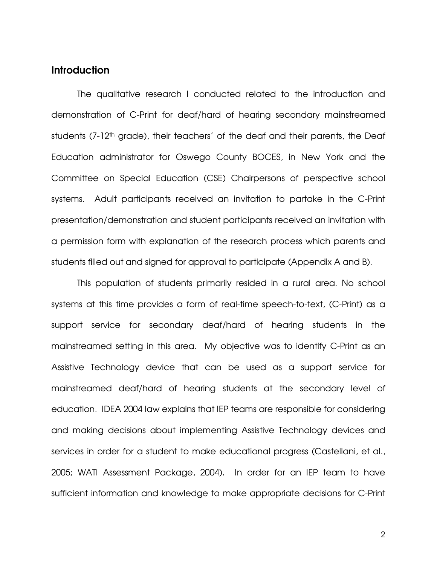#### **Introduction**

The qualitative research I conducted related to the introduction and demonstration of C-Print for deaf/hard of hearing secondary mainstreamed students (7-12<sup>th</sup> grade), their teachers' of the deaf and their parents, the Deaf Education administrator for Oswego County BOCES, in New York and the Committee on Special Education (CSE) Chairpersons of perspective school systems. Adult participants received an invitation to partake in the C-Print presentation/demonstration and student participants received an invitation with a permission form with explanation of the research process which parents and students filled out and signed for approval to participate (Appendix A and B).

This population of students primarily resided in a rural area. No school systems at this time provides a form of real-time speech-to-text, (C-Print) as a support service for secondary deaf/hard of hearing students in the mainstreamed setting in this area. My objective was to identify C-Print as an Assistive Technology device that can be used as a support service for mainstreamed deaf/hard of hearing students at the secondary level of education. IDEA 2004 law explains that IEP teams are responsible for considering and making decisions about implementing Assistive Technology devices and services in order for a student to make educational progress (Castellani, et al., 2005; WATI Assessment Package, 2004). In order for an IEP team to have sufficient information and knowledge to make appropriate decisions for C-Print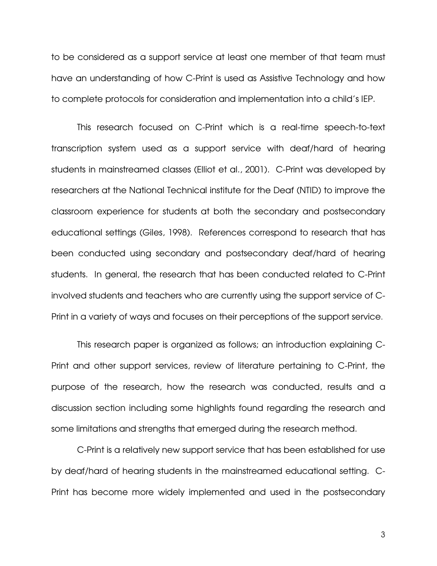to be considered as a support service at least one member of that team must have an understanding of how C-Print is used as Assistive Technology and how to complete protocols for consideration and implementation into a child's IEP.

 This research focused on C-Print which is a real-time speech-to-text transcription system used as a support service with deaf/hard of hearing students in mainstreamed classes (Elliot et al., 2001). C-Print was developed by researchers at the National Technical institute for the Deaf (NTID) to improve the classroom experience for students at both the secondary and postsecondary educational settings (Giles, 1998). References correspond to research that has been conducted using secondary and postsecondary deaf/hard of hearing students. In general, the research that has been conducted related to C-Print involved students and teachers who are currently using the support service of C-Print in a variety of ways and focuses on their perceptions of the support service.

This research paper is organized as follows; an introduction explaining C-Print and other support services, review of literature pertaining to C-Print, the purpose of the research, how the research was conducted, results and a discussion section including some highlights found regarding the research and some limitations and strengths that emerged during the research method.

C-Print is a relatively new support service that has been established for use by deaf/hard of hearing students in the mainstreamed educational setting. C-Print has become more widely implemented and used in the postsecondary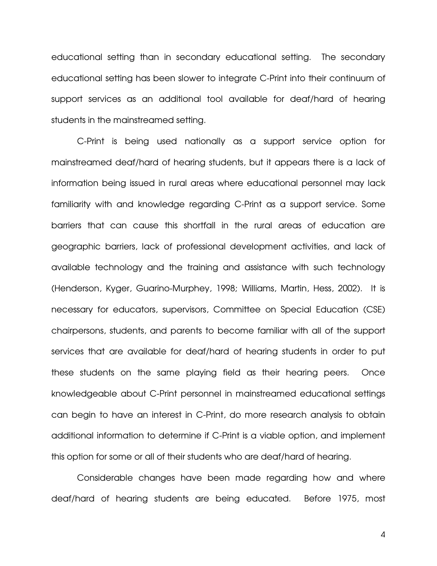educational setting than in secondary educational setting. The secondary educational setting has been slower to integrate C-Print into their continuum of support services as an additional tool available for deaf/hard of hearing students in the mainstreamed setting.

C-Print is being used nationally as a support service option for mainstreamed deaf/hard of hearing students, but it appears there is a lack of information being issued in rural areas where educational personnel may lack familiarity with and knowledge regarding C-Print as a support service. Some barriers that can cause this shortfall in the rural areas of education are geographic barriers, lack of professional development activities, and lack of available technology and the training and assistance with such technology (Henderson, Kyger, Guarino-Murphey, 1998; Williams, Martin, Hess, 2002). It is necessary for educators, supervisors, Committee on Special Education (CSE) chairpersons, students, and parents to become familiar with all of the support services that are available for deaf/hard of hearing students in order to put these students on the same playing field as their hearing peers. Once knowledgeable about C-Print personnel in mainstreamed educational settings can begin to have an interest in C-Print, do more research analysis to obtain additional information to determine if C-Print is a viable option, and implement this option for some or all of their students who are deaf/hard of hearing.

Considerable changes have been made regarding how and where deaf/hard of hearing students are being educated. Before 1975, most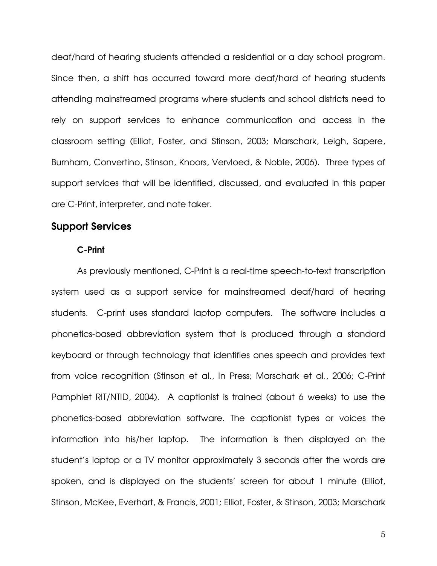deaf/hard of hearing students attended a residential or a day school program. Since then, a shift has occurred toward more deaf/hard of hearing students attending mainstreamed programs where students and school districts need to rely on support services to enhance communication and access in the classroom setting (Elliot, Foster, and Stinson, 2003; Marschark, Leigh, Sapere, Burnham, Convertino, Stinson, Knoors, Vervloed, & Noble, 2006). Three types of support services that will be identified, discussed, and evaluated in this paper are C-Print, interpreter, and note taker.

### Support Services

#### C-Print

As previously mentioned, C-Print is a real-time speech-to-text transcription system used as a support service for mainstreamed deaf/hard of hearing students. C-print uses standard laptop computers. The software includes a phonetics-based abbreviation system that is produced through a standard keyboard or through technology that identifies ones speech and provides text from voice recognition (Stinson et al., In Press; Marschark et al., 2006; C-Print Pamphlet RIT/NTID, 2004). A captionist is trained (about 6 weeks) to use the phonetics-based abbreviation software. The captionist types or voices the information into his/her laptop. The information is then displayed on the student's laptop or a TV monitor approximately 3 seconds after the words are spoken, and is displayed on the students' screen for about 1 minute (Elliot, Stinson, McKee, Everhart, & Francis, 2001; Elliot, Foster, & Stinson, 2003; Marschark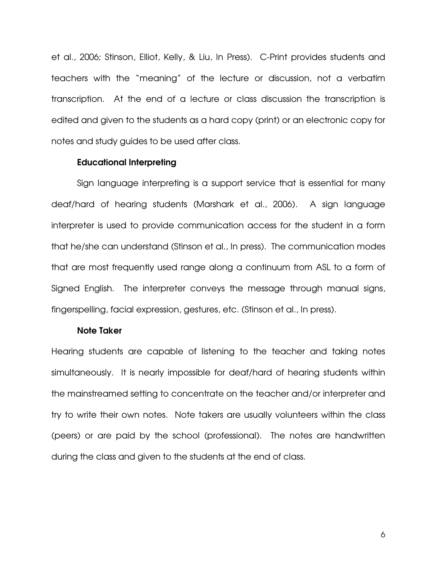et al., 2006; Stinson, Elliot, Kelly, & Liu, In Press). C-Print provides students and teachers with the "meaning" of the lecture or discussion, not a verbatim transcription. At the end of a lecture or class discussion the transcription is edited and given to the students as a hard copy (print) or an electronic copy for notes and study guides to be used after class.

#### Educational Interpreting

Sign language interpreting is a support service that is essential for many deaf/hard of hearing students (Marshark et al., 2006). A sign language interpreter is used to provide communication access for the student in a form that he/she can understand (Stinson et al., In press). The communication modes that are most frequently used range along a continuum from ASL to a form of Signed English. The interpreter conveys the message through manual signs, fingerspelling, facial expression, gestures, etc. (Stinson et al., In press).

#### Note Taker

Hearing students are capable of listening to the teacher and taking notes simultaneously. It is nearly impossible for deaf/hard of hearing students within the mainstreamed setting to concentrate on the teacher and/or interpreter and try to write their own notes. Note takers are usually volunteers within the class (peers) or are paid by the school (professional). The notes are handwritten during the class and given to the students at the end of class.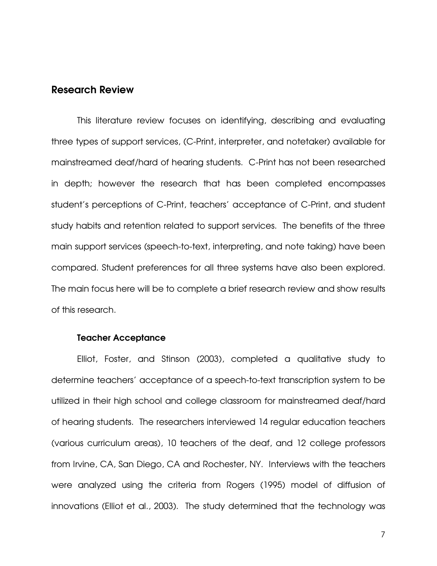#### Research Review

This literature review focuses on identifying, describing and evaluating three types of support services, (C-Print, interpreter, and notetaker) available for mainstreamed deaf/hard of hearing students. C-Print has not been researched in depth; however the research that has been completed encompasses student's perceptions of C-Print, teachers' acceptance of C-Print, and student study habits and retention related to support services. The benefits of the three main support services (speech-to-text, interpreting, and note taking) have been compared. Student preferences for all three systems have also been explored. The main focus here will be to complete a brief research review and show results of this research.

#### Teacher Acceptance

 Elliot, Foster, and Stinson (2003), completed a qualitative study to determine teachers' acceptance of a speech-to-text transcription system to be utilized in their high school and college classroom for mainstreamed deaf/hard of hearing students. The researchers interviewed 14 regular education teachers (various curriculum areas), 10 teachers of the deaf, and 12 college professors from Irvine, CA, San Diego, CA and Rochester, NY. Interviews with the teachers were analyzed using the criteria from Rogers (1995) model of diffusion of innovations (Elliot et al., 2003). The study determined that the technology was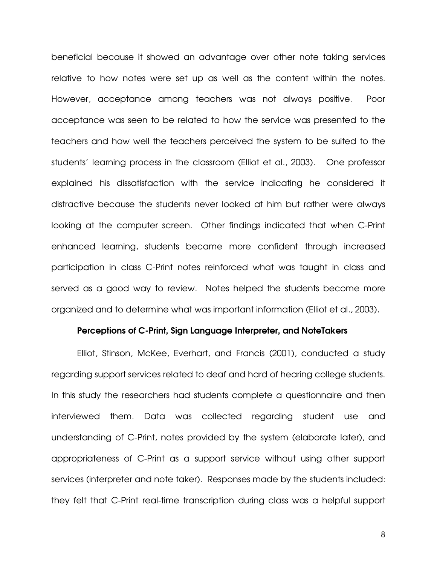beneficial because it showed an advantage over other note taking services relative to how notes were set up as well as the content within the notes. However, acceptance among teachers was not always positive. Poor acceptance was seen to be related to how the service was presented to the teachers and how well the teachers perceived the system to be suited to the students' learning process in the classroom (Elliot et al., 2003). One professor explained his dissatisfaction with the service indicating he considered it distractive because the students never looked at him but rather were always looking at the computer screen. Other findings indicated that when C-Print enhanced learning, students became more confident through increased participation in class C-Print notes reinforced what was taught in class and served as a good way to review. Notes helped the students become more organized and to determine what was important information (Elliot et al., 2003).

#### Perceptions of C-Print, Sign Language Interpreter, and NoteTakers

Elliot, Stinson, McKee, Everhart, and Francis (2001), conducted a study regarding support services related to deaf and hard of hearing college students. In this study the researchers had students complete a questionnaire and then interviewed them. Data was collected regarding student use and understanding of C-Print, notes provided by the system (elaborate later), and appropriateness of C-Print as a support service without using other support services (interpreter and note taker). Responses made by the students included: they felt that C-Print real-time transcription during class was a helpful support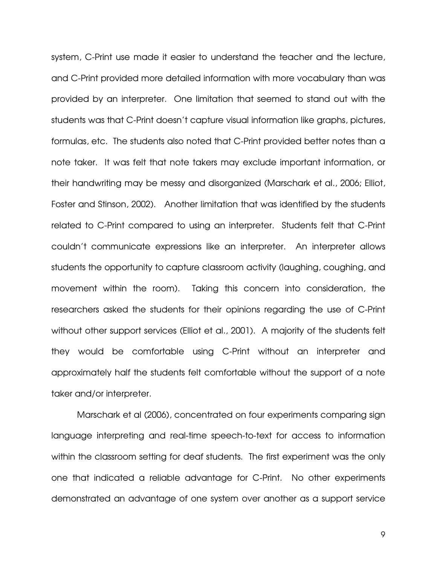system, C-Print use made it easier to understand the teacher and the lecture, and C-Print provided more detailed information with more vocabulary than was provided by an interpreter. One limitation that seemed to stand out with the students was that C-Print doesn't capture visual information like graphs, pictures, formulas, etc. The students also noted that C-Print provided better notes than a note taker. It was felt that note takers may exclude important information, or their handwriting may be messy and disorganized (Marschark et al., 2006; Elliot, Foster and Stinson, 2002). Another limitation that was identified by the students related to C-Print compared to using an interpreter. Students felt that C-Print couldn't communicate expressions like an interpreter. An interpreter allows students the opportunity to capture classroom activity (laughing, coughing, and movement within the room). Taking this concern into consideration, the researchers asked the students for their opinions regarding the use of C-Print without other support services (Elliot et al., 2001). A majority of the students felt they would be comfortable using C-Print without an interpreter and approximately half the students felt comfortable without the support of a note taker and/or interpreter.

 Marschark et al (2006), concentrated on four experiments comparing sign language interpreting and real-time speech-to-text for access to information within the classroom setting for deaf students. The first experiment was the only one that indicated a reliable advantage for C-Print. No other experiments demonstrated an advantage of one system over another as a support service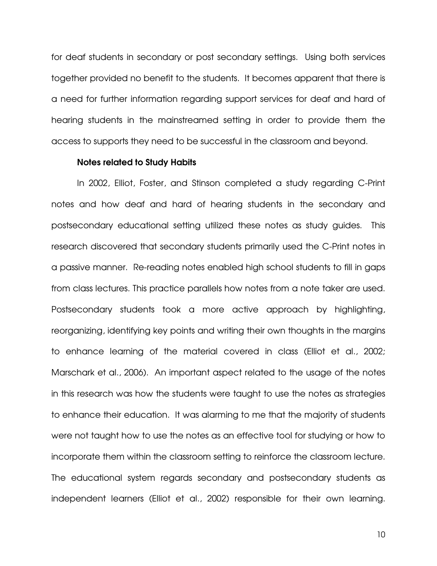for deaf students in secondary or post secondary settings. Using both services together provided no benefit to the students. It becomes apparent that there is a need for further information regarding support services for deaf and hard of hearing students in the mainstreamed setting in order to provide them the access to supports they need to be successful in the classroom and beyond.

#### Notes related to Study Habits

 In 2002, Elliot, Foster, and Stinson completed a study regarding C-Print notes and how deaf and hard of hearing students in the secondary and postsecondary educational setting utilized these notes as study guides. This research discovered that secondary students primarily used the C-Print notes in a passive manner. Re-reading notes enabled high school students to fill in gaps from class lectures. This practice parallels how notes from a note taker are used. Postsecondary students took a more active approach by highlighting, reorganizing, identifying key points and writing their own thoughts in the margins to enhance learning of the material covered in class (Elliot et al., 2002; Marschark et al., 2006). An important aspect related to the usage of the notes in this research was how the students were taught to use the notes as strategies to enhance their education. It was alarming to me that the majority of students were not taught how to use the notes as an effective tool for studying or how to incorporate them within the classroom setting to reinforce the classroom lecture. The educational system regards secondary and postsecondary students as independent learners (Elliot et al., 2002) responsible for their own learning.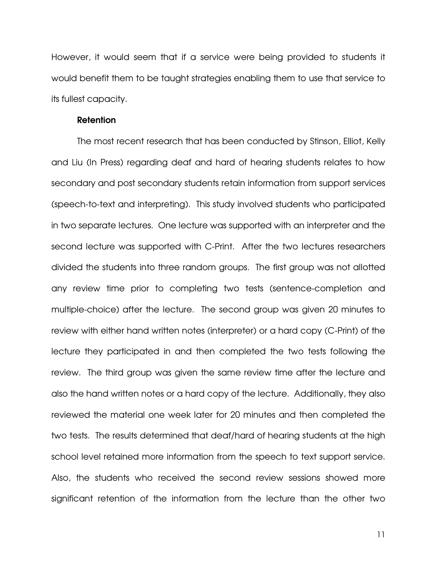However, it would seem that if a service were being provided to students it would benefit them to be taught strategies enabling them to use that service to its fullest capacity.

#### Retention

The most recent research that has been conducted by Stinson, Elliot, Kelly and Liu (In Press) regarding deaf and hard of hearing students relates to how secondary and post secondary students retain information from support services (speech-to-text and interpreting). This study involved students who participated in two separate lectures. One lecture was supported with an interpreter and the second lecture was supported with C-Print. After the two lectures researchers divided the students into three random groups. The first group was not allotted any review time prior to completing two tests (sentence-completion and multiple-choice) after the lecture. The second group was given 20 minutes to review with either hand written notes (interpreter) or a hard copy (C-Print) of the lecture they participated in and then completed the two tests following the review. The third group was given the same review time after the lecture and also the hand written notes or a hard copy of the lecture. Additionally, they also reviewed the material one week later for 20 minutes and then completed the two tests. The results determined that deaf/hard of hearing students at the high school level retained more information from the speech to text support service. Also, the students who received the second review sessions showed more significant retention of the information from the lecture than the other two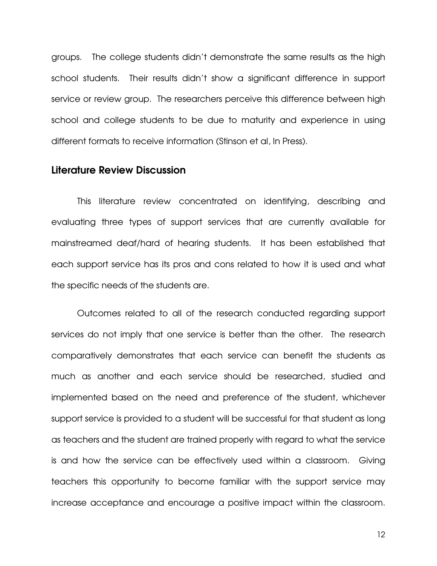groups. The college students didn't demonstrate the same results as the high school students. Their results didn't show a significant difference in support service or review group. The researchers perceive this difference between high school and college students to be due to maturity and experience in using different formats to receive information (Stinson et al, In Press).

### Literature Review Discussion

This literature review concentrated on identifying, describing and evaluating three types of support services that are currently available for mainstreamed deaf/hard of hearing students. It has been established that each support service has its pros and cons related to how it is used and what the specific needs of the students are.

Outcomes related to all of the research conducted regarding support services do not imply that one service is better than the other. The research comparatively demonstrates that each service can benefit the students as much as another and each service should be researched, studied and implemented based on the need and preference of the student, whichever support service is provided to a student will be successful for that student as long as teachers and the student are trained properly with regard to what the service is and how the service can be effectively used within a classroom. Giving teachers this opportunity to become familiar with the support service may increase acceptance and encourage a positive impact within the classroom.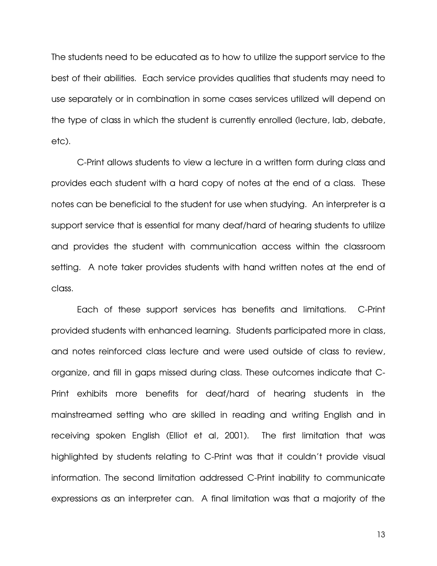The students need to be educated as to how to utilize the support service to the best of their abilities. Each service provides qualities that students may need to use separately or in combination in some cases services utilized will depend on the type of class in which the student is currently enrolled (lecture, lab, debate, etc).

C-Print allows students to view a lecture in a written form during class and provides each student with a hard copy of notes at the end of a class. These notes can be beneficial to the student for use when studying. An interpreter is a support service that is essential for many deaf/hard of hearing students to utilize and provides the student with communication access within the classroom setting. A note taker provides students with hand written notes at the end of class.

Each of these support services has benefits and limitations. C-Print provided students with enhanced learning. Students participated more in class, and notes reinforced class lecture and were used outside of class to review, organize, and fill in gaps missed during class. These outcomes indicate that C-Print exhibits more benefits for deaf/hard of hearing students in the mainstreamed setting who are skilled in reading and writing English and in receiving spoken English (Elliot et al, 2001). The first limitation that was highlighted by students relating to C-Print was that it couldn't provide visual information. The second limitation addressed C-Print inability to communicate expressions as an interpreter can. A final limitation was that a majority of the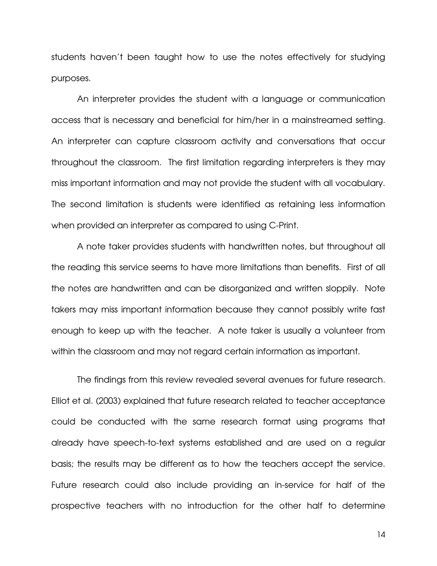students haven't been taught how to use the notes effectively for studying purposes.

An interpreter provides the student with a language or communication access that is necessary and beneficial for him/her in a mainstreamed setting. An interpreter can capture classroom activity and conversations that occur throughout the classroom. The first limitation regarding interpreters is they may miss important information and may not provide the student with all vocabulary. The second limitation is students were identified as retaining less information when provided an interpreter as compared to using C-Print.

 A note taker provides students with handwritten notes, but throughout all the reading this service seems to have more limitations than benefits. First of all the notes are handwritten and can be disorganized and written sloppily. Note takers may miss important information because they cannot possibly write fast enough to keep up with the teacher. A note taker is usually a volunteer from within the classroom and may not regard certain information as important.

 The findings from this review revealed several avenues for future research. Elliot et al. (2003) explained that future research related to teacher acceptance could be conducted with the same research format using programs that already have speech-to-text systems established and are used on a regular basis; the results may be different as to how the teachers accept the service. Future research could also include providing an in-service for half of the prospective teachers with no introduction for the other half to determine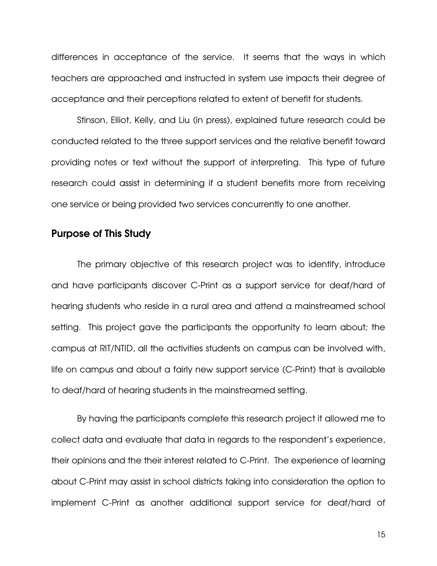differences in acceptance of the service. It seems that the ways in which teachers are approached and instructed in system use impacts their degree of acceptance and their perceptions related to extent of benefit for students.

 Stinson, Elliot, Kelly, and Liu (in press), explained future research could be conducted related to the three support services and the relative benefit toward providing notes or text without the support of interpreting. This type of future research could assist in determining if a student benefits more from receiving one service or being provided two services concurrently to one another.

### Purpose of This Study

The primary objective of this research project was to identify, introduce and have participants discover C-Print as a support service for deaf/hard of hearing students who reside in a rural area and attend a mainstreamed school setting. This project gave the participants the opportunity to learn about; the campus at RIT/NTID, all the activities students on campus can be involved with, life on campus and about a fairly new support service (C-Print) that is available to deaf/hard of hearing students in the mainstreamed setting.

 By having the participants complete this research project it allowed me to collect data and evaluate that data in regards to the respondent's experience, their opinions and the their interest related to C-Print. The experience of learning about C-Print may assist in school districts taking into consideration the option to implement C-Print as another additional support service for deaf/hard of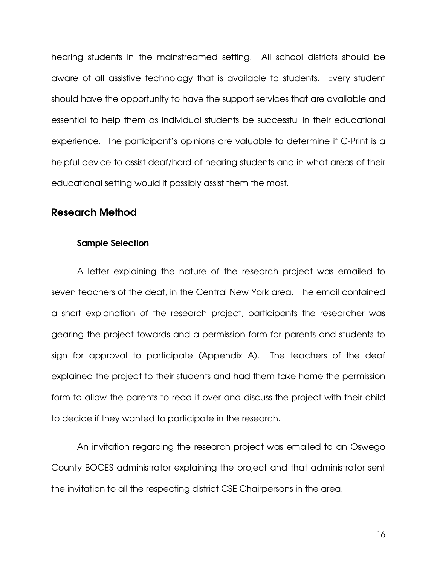hearing students in the mainstreamed setting. All school districts should be aware of all assistive technology that is available to students. Every student should have the opportunity to have the support services that are available and essential to help them as individual students be successful in their educational experience. The participant's opinions are valuable to determine if C-Print is a helpful device to assist deaf/hard of hearing students and in what areas of their educational setting would it possibly assist them the most.

#### Research Method

#### Sample Selection

A letter explaining the nature of the research project was emailed to seven teachers of the deaf, in the Central New York area. The email contained a short explanation of the research project, participants the researcher was gearing the project towards and a permission form for parents and students to sign for approval to participate (Appendix A). The teachers of the deaf explained the project to their students and had them take home the permission form to allow the parents to read it over and discuss the project with their child to decide if they wanted to participate in the research.

An invitation regarding the research project was emailed to an Oswego County BOCES administrator explaining the project and that administrator sent the invitation to all the respecting district CSE Chairpersons in the area.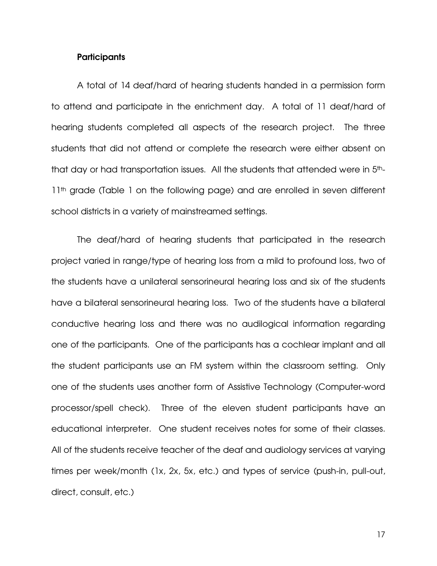#### **Participants**

 A total of 14 deaf/hard of hearing students handed in a permission form to attend and participate in the enrichment day. A total of 11 deaf/hard of hearing students completed all aspects of the research project. The three students that did not attend or complete the research were either absent on that day or had transportation issues. All the students that attended were in 5th-11<sup>th</sup> grade (Table 1 on the following page) and are enrolled in seven different school districts in a variety of mainstreamed settings.

 The deaf/hard of hearing students that participated in the research project varied in range/type of hearing loss from a mild to profound loss, two of the students have a unilateral sensorineural hearing loss and six of the students have a bilateral sensorineural hearing loss. Two of the students have a bilateral conductive hearing loss and there was no audilogical information regarding one of the participants. One of the participants has a cochlear implant and all the student participants use an FM system within the classroom setting. Only one of the students uses another form of Assistive Technology (Computer-word processor/spell check). Three of the eleven student participants have an educational interpreter. One student receives notes for some of their classes. All of the students receive teacher of the deaf and audiology services at varying times per week/month (1x, 2x, 5x, etc.) and types of service (push-in, pull-out, direct, consult, etc.)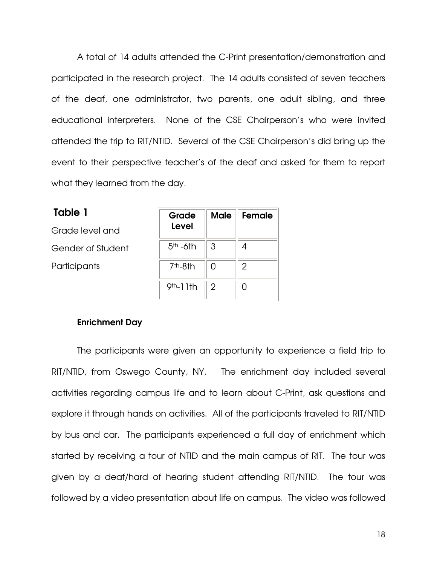A total of 14 adults attended the C-Print presentation/demonstration and participated in the research project. The 14 adults consisted of seven teachers of the deaf, one administrator, two parents, one adult sibling, and three educational interpreters. None of the CSE Chairperson's who were invited attended the trip to RIT/NTID. Several of the CSE Chairperson's did bring up the event to their perspective teacher's of the deaf and asked for them to report what they learned from the day.

Table 1 Grade level and Gender of Student **Participants** 

| Grade<br>Level | <b>Male</b> | Female         |
|----------------|-------------|----------------|
| $5th - 6th$    | 3           |                |
| $7th - 8th$    | N           | $\overline{2}$ |
| $9th-11th$     | 2           |                |

#### Enrichment Day

The participants were given an opportunity to experience a field trip to RIT/NTID, from Oswego County, NY. The enrichment day included several activities regarding campus life and to learn about C-Print, ask questions and explore it through hands on activities. All of the participants traveled to RIT/NTID by bus and car. The participants experienced a full day of enrichment which started by receiving a tour of NTID and the main campus of RIT. The tour was given by a deaf/hard of hearing student attending RIT/NTID. The tour was followed by a video presentation about life on campus. The video was followed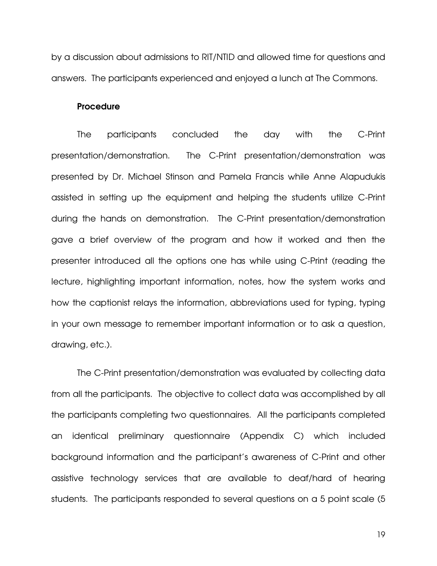by a discussion about admissions to RIT/NTID and allowed time for questions and answers. The participants experienced and enjoyed a lunch at The Commons.

#### **Procedure**

The participants concluded the day with the C-Print presentation/demonstration. The C-Print presentation/demonstration was presented by Dr. Michael Stinson and Pamela Francis while Anne Alapudukis assisted in setting up the equipment and helping the students utilize C-Print during the hands on demonstration. The C-Print presentation/demonstration gave a brief overview of the program and how it worked and then the presenter introduced all the options one has while using C-Print (reading the lecture, highlighting important information, notes, how the system works and how the captionist relays the information, abbreviations used for typing, typing in your own message to remember important information or to ask a question, drawing, etc.).

 The C-Print presentation/demonstration was evaluated by collecting data from all the participants. The objective to collect data was accomplished by all the participants completing two questionnaires. All the participants completed an identical preliminary questionnaire (Appendix C) which included background information and the participant's awareness of C-Print and other assistive technology services that are available to deaf/hard of hearing students. The participants responded to several questions on a 5 point scale (5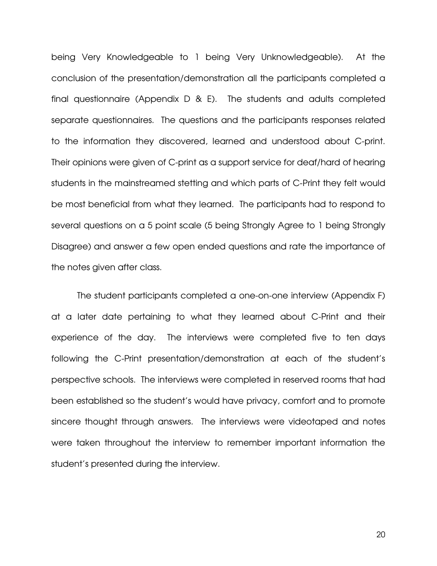being Very Knowledgeable to 1 being Very Unknowledgeable). At the conclusion of the presentation/demonstration all the participants completed a final questionnaire (Appendix D & E). The students and adults completed separate questionnaires. The questions and the participants responses related to the information they discovered, learned and understood about C-print. Their opinions were given of C-print as a support service for deaf/hard of hearing students in the mainstreamed stetting and which parts of C-Print they felt would be most beneficial from what they learned. The participants had to respond to several questions on a 5 point scale (5 being Strongly Agree to 1 being Strongly Disagree) and answer a few open ended questions and rate the importance of the notes given after class.

The student participants completed a one-on-one interview (Appendix F) at a later date pertaining to what they learned about C-Print and their experience of the day. The interviews were completed five to ten days following the C-Print presentation/demonstration at each of the student's perspective schools. The interviews were completed in reserved rooms that had been established so the student's would have privacy, comfort and to promote sincere thought through answers. The interviews were videotaped and notes were taken throughout the interview to remember important information the student's presented during the interview.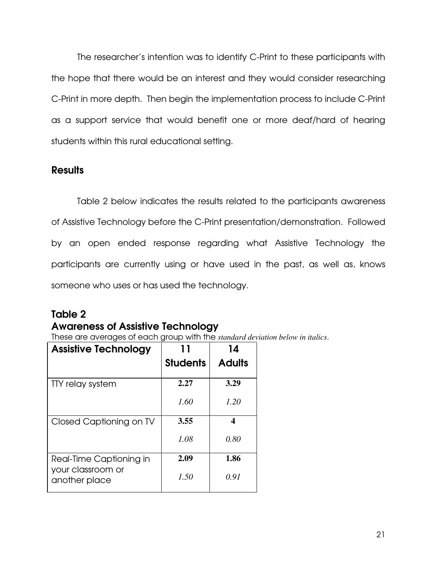The researcher's intention was to identify C-Print to these participants with the hope that there would be an interest and they would consider researching C-Print in more depth. Then begin the implementation process to include C-Print as a support service that would benefit one or more deaf/hard of hearing students within this rural educational setting.

### **Results**

 Table 2 below indicates the results related to the participants awareness of Assistive Technology before the C-Print presentation/demonstration. Followed by an open ended response regarding what Assistive Technology the participants are currently using or have used in the past, as well as, knows someone who uses or has used the technology.

### Table 2

### Awareness of Assistive Technology

These are averages of each group with the *standard deviation below in italics*.

| <b>Assistive Technology</b>                  |                 | 14            |
|----------------------------------------------|-----------------|---------------|
|                                              | <b>Students</b> | <b>Adults</b> |
| TTY relay system                             | 2.27            | 3.29          |
|                                              | 1.60            | 1.20          |
| Closed Captioning on TV                      | 3.55            | 4             |
|                                              | 1.08            | 0.80          |
| Real-Time Captioning in<br>your classroom or | 2.09            | 1.86          |
| another place                                | 1.50            | 0.91          |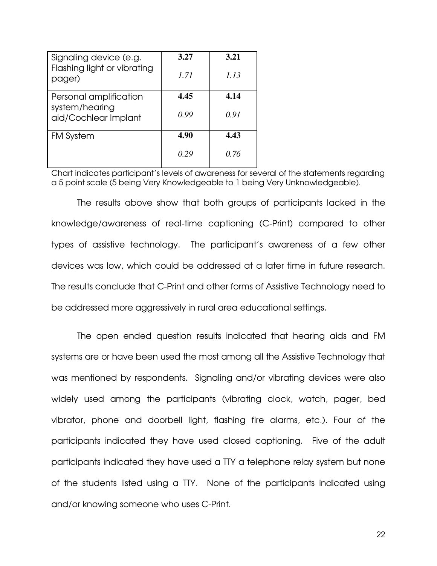| Signaling device (e.g.<br>Flashing light or vibrating<br>pager)  | 3.27<br>1.71 | 3.21<br>1.13 |
|------------------------------------------------------------------|--------------|--------------|
| Personal amplification<br>system/hearing<br>aid/Cochlear Implant | 4.45<br>0.99 | 4.14<br>0.91 |
| <b>FM System</b>                                                 | 4.90         | 4.43         |
|                                                                  | 0.29         | 0.76         |

Chart indicates participant's levels of awareness for several of the statements regarding a 5 point scale (5 being Very Knowledgeable to 1 being Very Unknowledgeable).

The results above show that both groups of participants lacked in the knowledge/awareness of real-time captioning (C-Print) compared to other types of assistive technology. The participant's awareness of a few other devices was low, which could be addressed at a later time in future research. The results conclude that C-Print and other forms of Assistive Technology need to be addressed more aggressively in rural area educational settings.

The open ended question results indicated that hearing aids and FM systems are or have been used the most among all the Assistive Technology that was mentioned by respondents. Signaling and/or vibrating devices were also widely used among the participants (vibrating clock, watch, pager, bed vibrator, phone and doorbell light, flashing fire alarms, etc.). Four of the participants indicated they have used closed captioning. Five of the adult participants indicated they have used a TTY a telephone relay system but none of the students listed using a TTY. None of the participants indicated using and/or knowing someone who uses C-Print.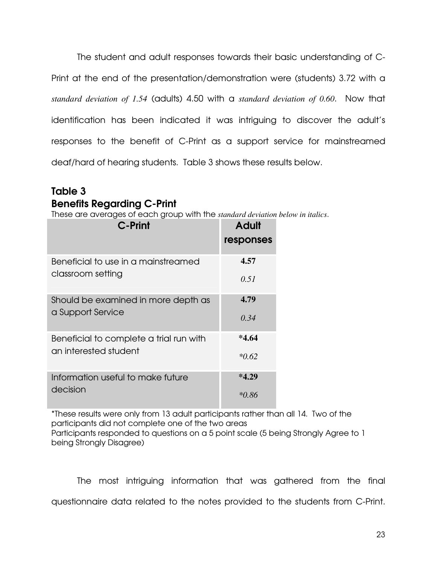The student and adult responses towards their basic understanding of C-Print at the end of the presentation/demonstration were (students) 3.72 with a *standard deviation of 1.54* (adults) 4.50 with a *standard deviation of 0.60*. Now that identification has been indicated it was intriguing to discover the adult's responses to the benefit of C-Print as a support service for mainstreamed deaf/hard of hearing students. Table 3 shows these results below.

### Table 3 Benefits Regarding C-Print

These are averages of each group with the *standard deviation below in italics*.

| C-Print                                 | <b>Adult</b><br>responses |
|-----------------------------------------|---------------------------|
| Beneficial to use in a mainstreamed     | 4.57                      |
| classroom setting                       | 0.51                      |
| Should be examined in more depth as     | 4.79                      |
| a Support Service                       | 0.34                      |
| Beneficial to complete a trial run with | *4.64                     |
| an interested student                   | $*0.62$                   |
| Information useful to make future       | $*4.29$                   |
| decision                                | *0.86                     |

\*These results were only from 13 adult participants rather than all 14. Two of the participants did not complete one of the two areas

Participants responded to questions on a 5 point scale (5 being Strongly Agree to 1 being Strongly Disagree)

The most intriguing information that was gathered from the final questionnaire data related to the notes provided to the students from C-Print.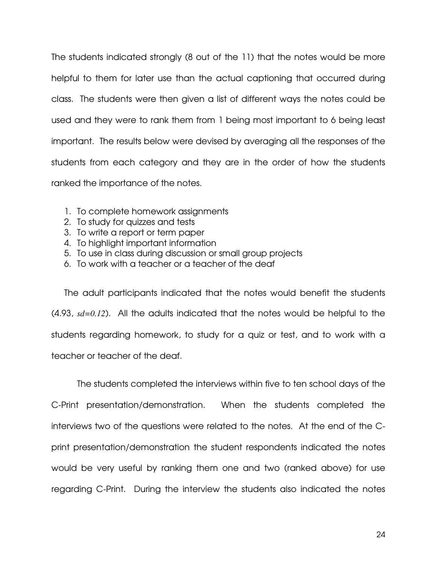The students indicated strongly (8 out of the 11) that the notes would be more helpful to them for later use than the actual captioning that occurred during class. The students were then given a list of different ways the notes could be used and they were to rank them from 1 being most important to 6 being least important. The results below were devised by averaging all the responses of the students from each category and they are in the order of how the students ranked the importance of the notes.

- 1. To complete homework assignments
- 2. To study for quizzes and tests
- 3. To write a report or term paper
- 4. To highlight important information
- 5. To use in class during discussion or small group projects
- 6. To work with a teacher or a teacher of the deaf

The adult participants indicated that the notes would benefit the students (4.93, *sd=0.12*). All the adults indicated that the notes would be helpful to the students regarding homework, to study for a quiz or test, and to work with a teacher or teacher of the deaf.

The students completed the interviews within five to ten school days of the C-Print presentation/demonstration. When the students completed the interviews two of the questions were related to the notes. At the end of the Cprint presentation/demonstration the student respondents indicated the notes would be very useful by ranking them one and two (ranked above) for use regarding C-Print. During the interview the students also indicated the notes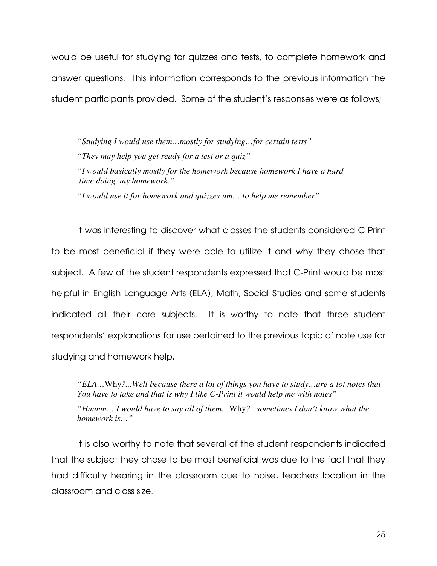would be useful for studying for quizzes and tests, to complete homework and answer questions. This information corresponds to the previous information the student participants provided. Some of the student's responses were as follows;

*"Studying I would use them…mostly for studying…for certain tests" "They may help you get ready for a test or a quiz" "I would basically mostly for the homework because homework I have a hard time doing my homework." "I would use it for homework and quizzes um….to help me remember"* 

 It was interesting to discover what classes the students considered C-Print to be most beneficial if they were able to utilize it and why they chose that subject. A few of the student respondents expressed that C-Print would be most helpful in English Language Arts (ELA), Math, Social Studies and some students indicated all their core subjects. It is worthy to note that three student respondents' explanations for use pertained to the previous topic of note use for studying and homework help.

*"ELA…*Why*?...Well because there a lot of things you have to study…are a lot notes that You have to take and that is why I like C-Print it would help me with notes"* 

*"Hmmm….I would have to say all of them…*Why*?...sometimes I don't know what the homework is…"* 

It is also worthy to note that several of the student respondents indicated that the subject they chose to be most beneficial was due to the fact that they had difficulty hearing in the classroom due to noise, teachers location in the classroom and class size.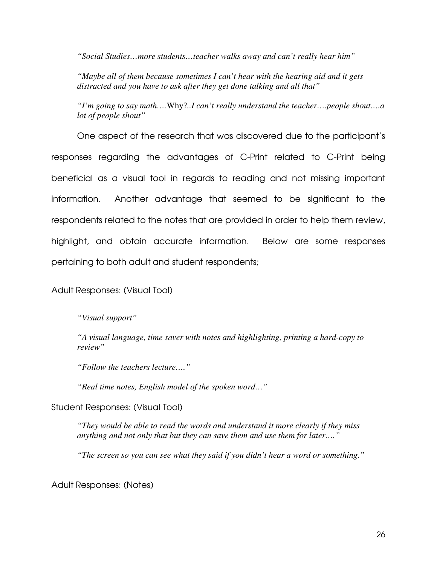*"Social Studies…more students…teacher walks away and can't really hear him"* 

*"Maybe all of them because sometimes I can't hear with the hearing aid and it gets distracted and you have to ask after they get done talking and all that"* 

*"I'm going to say math….*Why?*..I can't really understand the teacher….people shout….a lot of people shout"* 

 One aspect of the research that was discovered due to the participant's responses regarding the advantages of C-Print related to C-Print being beneficial as a visual tool in regards to reading and not missing important information. Another advantage that seemed to be significant to the respondents related to the notes that are provided in order to help them review, highlight, and obtain accurate information. Below are some responses pertaining to both adult and student respondents;

#### Adult Responses: (Visual Tool)

*"Visual support"* 

*"A visual language, time saver with notes and highlighting, printing a hard-copy to review"* 

*"Follow the teachers lecture…."* 

*"Real time notes, English model of the spoken word…"* 

Student Responses: (Visual Tool)

*"They would be able to read the words and understand it more clearly if they miss anything and not only that but they can save them and use them for later…."* 

 *"The screen so you can see what they said if you didn't hear a word or something."* 

Adult Responses: (Notes)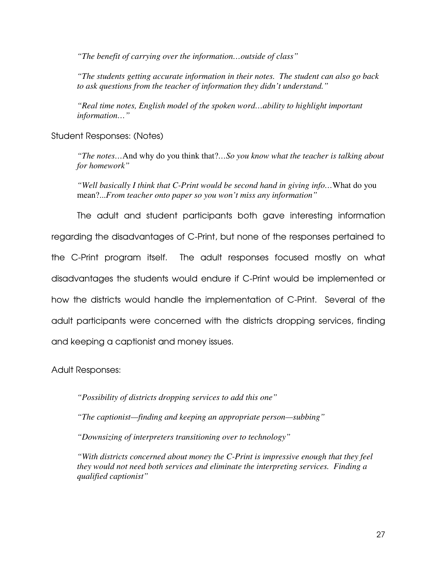*"The benefit of carrying over the information…outside of class"* 

 *"The students getting accurate information in their notes. The student can also go back to ask questions from the teacher of information they didn't understand."* 

*"Real time notes, English model of the spoken word…ability to highlight important information…"* 

Student Responses: (Notes)

*"The notes…*And why do you think that?*…So you know what the teacher is talking about for homework"* 

*"Well basically I think that C-Print would be second hand in giving info…*What do you mean?...*From teacher onto paper so you won't miss any information"* 

 The adult and student participants both gave interesting information regarding the disadvantages of C-Print, but none of the responses pertained to the C-Print program itself. The adult responses focused mostly on what disadvantages the students would endure if C-Print would be implemented or how the districts would handle the implementation of C-Print. Several of the adult participants were concerned with the districts dropping services, finding and keeping a captionist and money issues.

Adult Responses:

 *"Possibility of districts dropping services to add this one"* 

 *"The captionist—finding and keeping an appropriate person—subbing"* 

 *"Downsizing of interpreters transitioning over to technology"* 

*"With districts concerned about money the C-Print is impressive enough that they feel they would not need both services and eliminate the interpreting services. Finding a qualified captionist"*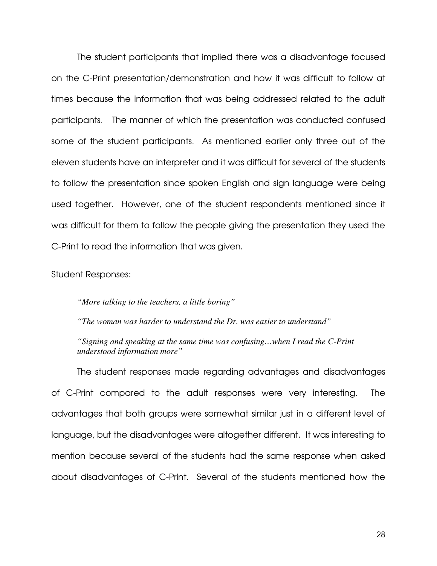The student participants that implied there was a disadvantage focused on the C-Print presentation/demonstration and how it was difficult to follow at times because the information that was being addressed related to the adult participants. The manner of which the presentation was conducted confused some of the student participants. As mentioned earlier only three out of the eleven students have an interpreter and it was difficult for several of the students to follow the presentation since spoken English and sign language were being used together. However, one of the student respondents mentioned since it was difficult for them to follow the people giving the presentation they used the C-Print to read the information that was given.

Student Responses:

 *"More talking to the teachers, a little boring"* 

 *"The woman was harder to understand the Dr. was easier to understand"* 

*"Signing and speaking at the same time was confusing…when I read the C-Print understood information more"* 

The student responses made regarding advantages and disadvantages of C-Print compared to the adult responses were very interesting. The advantages that both groups were somewhat similar just in a different level of language, but the disadvantages were altogether different. It was interesting to mention because several of the students had the same response when asked about disadvantages of C-Print. Several of the students mentioned how the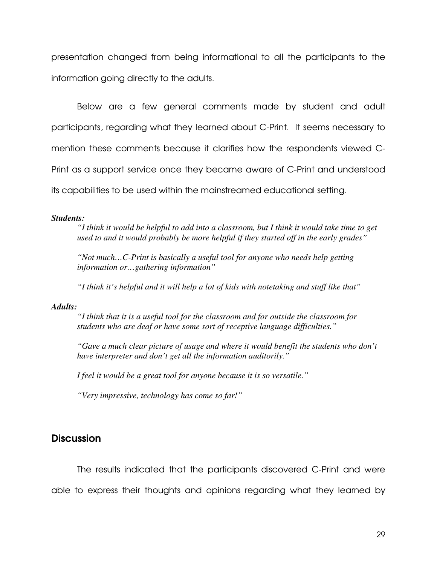presentation changed from being informational to all the participants to the information going directly to the adults.

Below are a few general comments made by student and adult participants, regarding what they learned about C-Print. It seems necessary to mention these comments because it clarifies how the respondents viewed C-Print as a support service once they became aware of C-Print and understood its capabilities to be used within the mainstreamed educational setting.

#### *Students:*

*"I think it would be helpful to add into a classroom, but I think it would take time to get used to and it would probably be more helpful if they started off in the early grades"* 

*"Not much…C-Print is basically a useful tool for anyone who needs help getting information or…gathering information"* 

*"I think it's helpful and it will help a lot of kids with notetaking and stuff like that"* 

#### *Adults:*

*"I think that it is a useful tool for the classroom and for outside the classroom for students who are deaf or have some sort of receptive language difficulties."* 

*"Gave a much clear picture of usage and where it would benefit the students who don't have interpreter and don't get all the information auditorily."* 

*I feel it would be a great tool for anyone because it is so versatile."* 

*"Very impressive, technology has come so far!"* 

### **Discussion**

The results indicated that the participants discovered C-Print and were able to express their thoughts and opinions regarding what they learned by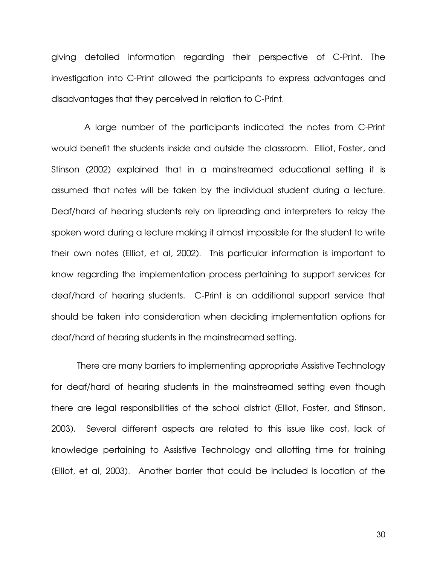giving detailed information regarding their perspective of C-Print. The investigation into C-Print allowed the participants to express advantages and disadvantages that they perceived in relation to C-Print.

 A large number of the participants indicated the notes from C-Print would benefit the students inside and outside the classroom. Elliot, Foster, and Stinson (2002) explained that in a mainstreamed educational setting it is assumed that notes will be taken by the individual student during a lecture. Deaf/hard of hearing students rely on lipreading and interpreters to relay the spoken word during a lecture making it almost impossible for the student to write their own notes (Elliot, et al, 2002). This particular information is important to know regarding the implementation process pertaining to support services for deaf/hard of hearing students. C-Print is an additional support service that should be taken into consideration when deciding implementation options for deaf/hard of hearing students in the mainstreamed setting.

 There are many barriers to implementing appropriate Assistive Technology for deaf/hard of hearing students in the mainstreamed setting even though there are legal responsibilities of the school district (Elliot, Foster, and Stinson, 2003). Several different aspects are related to this issue like cost, lack of knowledge pertaining to Assistive Technology and allotting time for training (Elliot, et al, 2003). Another barrier that could be included is location of the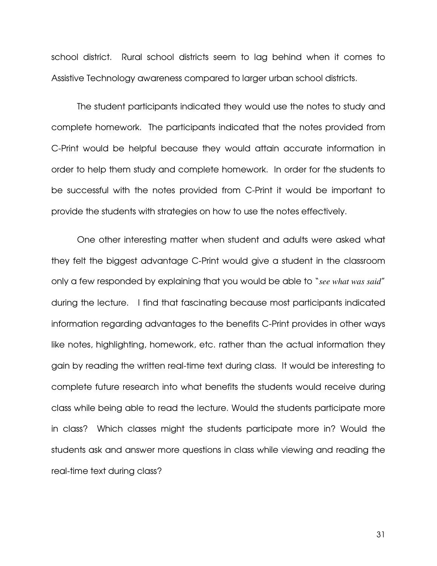school district. Rural school districts seem to lag behind when it comes to Assistive Technology awareness compared to larger urban school districts.

 The student participants indicated they would use the notes to study and complete homework. The participants indicated that the notes provided from C-Print would be helpful because they would attain accurate information in order to help them study and complete homework. In order for the students to be successful with the notes provided from C-Print it would be important to provide the students with strategies on how to use the notes effectively.

 One other interesting matter when student and adults were asked what they felt the biggest advantage C-Print would give a student in the classroom only a few responded by explaining that you would be able to "*see what was said*" during the lecture. I find that fascinating because most participants indicated information regarding advantages to the benefits C-Print provides in other ways like notes, highlighting, homework, etc. rather than the actual information they gain by reading the written real-time text during class. It would be interesting to complete future research into what benefits the students would receive during class while being able to read the lecture. Would the students participate more in class? Which classes might the students participate more in? Would the students ask and answer more questions in class while viewing and reading the real-time text during class?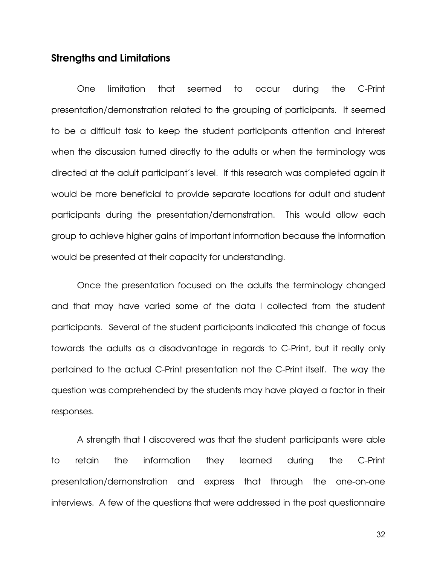### Strengths and Limitations

One limitation that seemed to occur during the C-Print presentation/demonstration related to the grouping of participants. It seemed to be a difficult task to keep the student participants attention and interest when the discussion turned directly to the adults or when the terminology was directed at the adult participant's level. If this research was completed again it would be more beneficial to provide separate locations for adult and student participants during the presentation/demonstration. This would allow each group to achieve higher gains of important information because the information would be presented at their capacity for understanding.

Once the presentation focused on the adults the terminology changed and that may have varied some of the data I collected from the student participants. Several of the student participants indicated this change of focus towards the adults as a disadvantage in regards to C-Print, but it really only pertained to the actual C-Print presentation not the C-Print itself. The way the question was comprehended by the students may have played a factor in their responses.

 A strength that I discovered was that the student participants were able to retain the information they learned during the C-Print presentation/demonstration and express that through the one-on-one interviews. A few of the questions that were addressed in the post questionnaire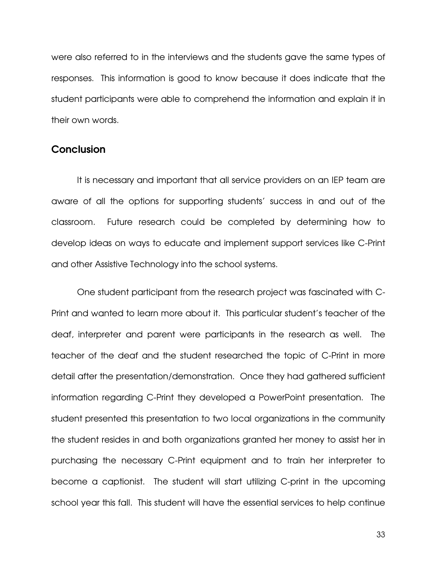were also referred to in the interviews and the students gave the same types of responses. This information is good to know because it does indicate that the student participants were able to comprehend the information and explain it in their own words.

#### **Conclusion**

 It is necessary and important that all service providers on an IEP team are aware of all the options for supporting students' success in and out of the classroom. Future research could be completed by determining how to develop ideas on ways to educate and implement support services like C-Print and other Assistive Technology into the school systems.

 One student participant from the research project was fascinated with C-Print and wanted to learn more about it. This particular student's teacher of the deaf, interpreter and parent were participants in the research as well. The teacher of the deaf and the student researched the topic of C-Print in more detail after the presentation/demonstration. Once they had gathered sufficient information regarding C-Print they developed a PowerPoint presentation. The student presented this presentation to two local organizations in the community the student resides in and both organizations granted her money to assist her in purchasing the necessary C-Print equipment and to train her interpreter to become a captionist. The student will start utilizing C-print in the upcoming school year this fall. This student will have the essential services to help continue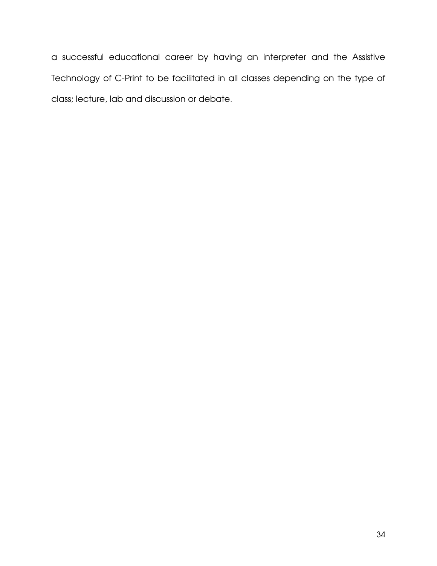a successful educational career by having an interpreter and the Assistive Technology of C-Print to be facilitated in all classes depending on the type of class; lecture, lab and discussion or debate.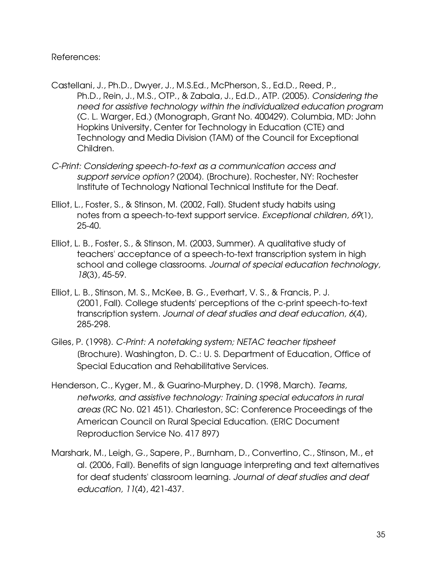#### References:

- Castellani, J., Ph.D., Dwyer, J., M.S.Ed., McPherson, S., Ed.D., Reed, P., Ph.D., Rein, J., M.S., OTP., & Zabala, J., Ed.D., ATP. (2005). Considering the need for assistive technology within the individualized education program (C. L. Warger, Ed.) (Monograph, Grant No. 400429). Columbia, MD: John Hopkins University, Center for Technology in Education (CTE) and Technology and Media Division (TAM) of the Council for Exceptional Children.
- C-Print: Considering speech-to-text as a communication access and support service option? (2004). (Brochure). Rochester, NY: Rochester Institute of Technology National Technical Institute for the Deaf.
- Elliot, L., Foster, S., & Stinson, M. (2002, Fall). Student study habits using notes from a speech-to-text support service. Exceptional children, 69(1), 25-40.
- Elliot, L. B., Foster, S., & Stinson, M. (2003, Summer). A qualitative study of teachers' acceptance of a speech-to-text transcription system in high school and college classrooms. Journal of special education technology, 18(3), 45-59.
- Elliot, L. B., Stinson, M. S., McKee, B. G., Everhart, V. S., & Francis, P. J. (2001, Fall). College students' perceptions of the c-print speech-to-text transcription system. Journal of deaf studies and deaf education, 6(4), 285-298.
- Giles, P. (1998). C-Print: A notetaking system; NETAC teacher tipsheet [Brochure]. Washington, D. C.: U. S. Department of Education, Office of Special Education and Rehabilitative Services.
- Henderson, C., Kyger, M., & Guarino-Murphey, D. (1998, March). Teams, networks, and assistive technology: Training special educators in rural areas (RC No. 021 451). Charleston, SC: Conference Proceedings of the American Council on Rural Special Education. (ERIC Document Reproduction Service No. 417 897)
- Marshark, M., Leigh, G., Sapere, P., Burnham, D., Convertino, C., Stinson, M., et al. (2006, Fall). Benefits of sign language interpreting and text alternatives for deaf students' classroom learning. Journal of deaf studies and deaf education, 11(4), 421-437.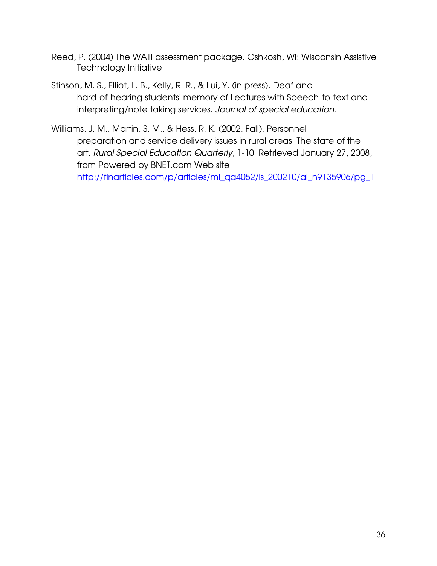- Reed, P. (2004) The WATI assessment package. Oshkosh, WI: Wisconsin Assistive Technology Initiative
- Stinson, M. S., Elliot, L. B., Kelly, R. R., & Lui, Y. (in press). Deaf and hard-of-hearing students' memory of Lectures with Speech-to-text and interpreting/note taking services. Journal of special education.
- Williams, J. M., Martin, S. M., & Hess, R. K. (2002, Fall). Personnel preparation and service delivery issues in rural areas: The state of the art. Rural Special Education Quarterly, 1-10. Retrieved January 27, 2008, from Powered by BNET.com Web site: http://finarticles.com/p/articles/mi\_qa4052/is\_200210/ai\_n9135906/pg\_1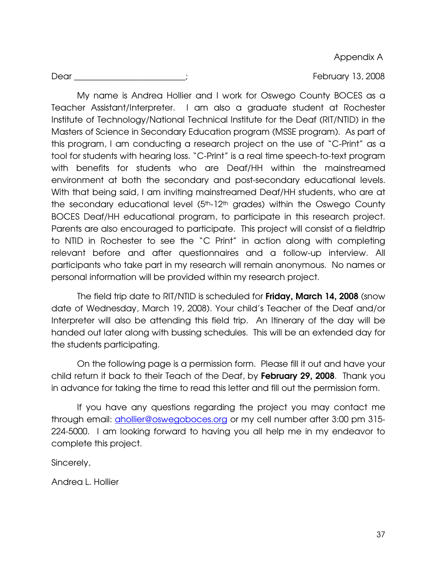Appendix A

Dear \_\_\_\_\_\_\_\_\_\_\_\_\_\_\_\_\_\_\_\_\_\_\_\_\_\_; February 13, 2008

 My name is Andrea Hollier and I work for Oswego County BOCES as a Teacher Assistant/Interpreter. I am also a graduate student at Rochester Institute of Technology/National Technical Institute for the Deaf (RIT/NTID) in the Masters of Science in Secondary Education program (MSSE program). As part of this program, I am conducting a research project on the use of "C-Print" as a tool for students with hearing loss. "C-Print" is a real time speech-to-text program with benefits for students who are Deaf/HH within the mainstreamed environment at both the secondary and post-secondary educational levels. With that being said, I am inviting mainstreamed Deaf/HH students, who are at the secondary educational level  $(5<sup>th</sup>-12<sup>th</sup>)$  grades) within the Oswego County BOCES Deaf/HH educational program, to participate in this research project. Parents are also encouraged to participate. This project will consist of a fieldtrip to NTID in Rochester to see the "C Print" in action along with completing relevant before and after questionnaires and a follow-up interview. All participants who take part in my research will remain anonymous. No names or personal information will be provided within my research project.

The field trip date to RIT/NTID is scheduled for Friday, March 14, 2008 (snow date of Wednesday, March 19, 2008). Your child's Teacher of the Deaf and/or Interpreter will also be attending this field trip. An Itinerary of the day will be handed out later along with bussing schedules. This will be an extended day for the students participating.

 On the following page is a permission form. Please fill it out and have your child return it back to their Teach of the Deaf, by February 29, 2008. Thank you in advance for taking the time to read this letter and fill out the permission form.

If you have any questions regarding the project you may contact me through email: *ahollier@oswegoboces.org* or my cell number after 3:00 pm 315-224-5000. I am looking forward to having you all help me in my endeavor to complete this project.

Sincerely,

Andrea L. Hollier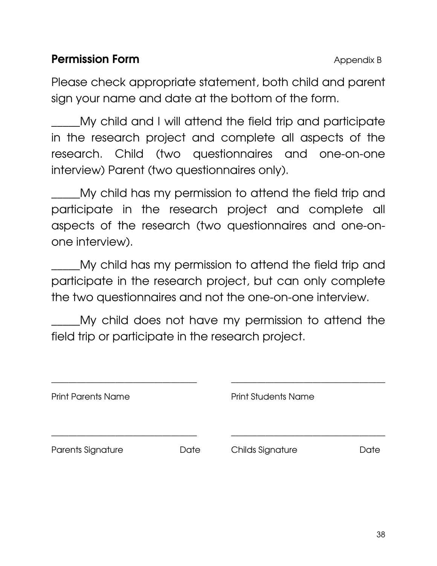### **Permission Form Appendix B** Appendix B

Please check appropriate statement, both child and parent sign your name and date at the bottom of the form.

My child and I will attend the field trip and participate in the research project and complete all aspects of the research. Child (two questionnaires and one-on-one interview) Parent (two questionnaires only).

My child has my permission to attend the field trip and participate in the research project and complete all aspects of the research (two questionnaires and one-onone interview).

\_\_\_\_\_My child has my permission to attend the field trip and participate in the research project, but can only complete the two questionnaires and not the one-on-one interview.

My child does not have my permission to attend the field trip or participate in the research project.

| <b>Print Parents Name</b> |      | <b>Print Students Name</b> |      |
|---------------------------|------|----------------------------|------|
| Parents Signature         | Date | <b>Childs Signature</b>    | Date |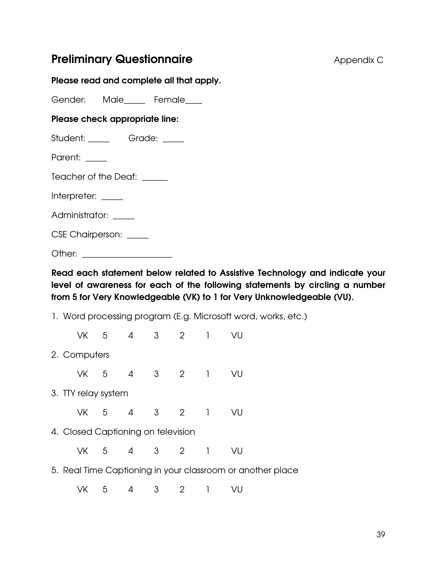### **Preliminary Questionnaire Appendix C Appendix C**

### Please read and complete all that apply.

Gender: Male\_\_\_\_\_ Female\_\_\_\_

### Please check appropriate line:

Student: \_\_\_\_\_ Grade: \_\_\_\_

Parent: \_\_\_\_

Teacher of the Deaf: \_\_\_\_\_

Interpreter: \_\_\_\_

Administrator: \_\_\_\_\_

CSE Chairperson: \_\_\_\_\_

Other:  $\Box$ 

Read each statement below related to Assistive Technology and indicate your level of awareness for each of the following statements by circling a number from 5 for Very Knowledgeable (VK) to 1 for Very Unknowledgeable (VU).

1. Word processing program (E.g. Microsoft word, works, etc.)

 VK 5 4 3 2 1 VU 2. Computers VK 5 4 3 2 1 VU 3. TTY relay system VK 5 4 3 2 1 VU 4. Closed Captioning on television VK 5 4 3 2 1 VU 5. Real Time Captioning in your classroom or another place

VK 5 4 3 2 1 VU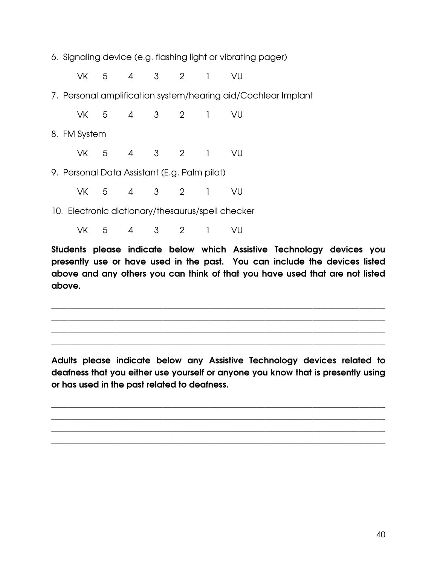6. Signaling device (e.g. flashing light or vibrating pager)

VK 5 4 3 2 1 VU

7. Personal amplification system/hearing aid/Cochlear Implant

VK 5 4 3 2 1 VU

8. FM System

VK 5 4 3 2 1 VU

- 9. Personal Data Assistant (E.g. Palm pilot)
- VK 5 4 3 2 1 VU

10. Electronic dictionary/thesaurus/spell checker

VK 5 4 3 2 1 VU

Students please indicate below which Assistive Technology devices you presently use or have used in the past. You can include the devices listed above and any others you can think of that you have used that are not listed above.

\_\_\_\_\_\_\_\_\_\_\_\_\_\_\_\_\_\_\_\_\_\_\_\_\_\_\_\_\_\_\_\_\_\_\_\_\_\_\_\_\_\_\_\_\_\_\_\_\_\_\_\_\_\_\_\_\_\_\_\_\_\_\_\_\_\_\_\_\_\_\_\_\_\_\_\_\_\_ \_\_\_\_\_\_\_\_\_\_\_\_\_\_\_\_\_\_\_\_\_\_\_\_\_\_\_\_\_\_\_\_\_\_\_\_\_\_\_\_\_\_\_\_\_\_\_\_\_\_\_\_\_\_\_\_\_\_\_\_\_\_\_\_\_\_\_\_\_\_\_\_\_\_\_\_\_\_ \_\_\_\_\_\_\_\_\_\_\_\_\_\_\_\_\_\_\_\_\_\_\_\_\_\_\_\_\_\_\_\_\_\_\_\_\_\_\_\_\_\_\_\_\_\_\_\_\_\_\_\_\_\_\_\_\_\_\_\_\_\_\_\_\_\_\_\_\_\_\_\_\_\_\_\_\_\_ \_\_\_\_\_\_\_\_\_\_\_\_\_\_\_\_\_\_\_\_\_\_\_\_\_\_\_\_\_\_\_\_\_\_\_\_\_\_\_\_\_\_\_\_\_\_\_\_\_\_\_\_\_\_\_\_\_\_\_\_\_\_\_\_\_\_\_\_\_\_\_\_\_\_\_\_\_\_

Adults please indicate below any Assistive Technology devices related to deafness that you either use yourself or anyone you know that is presently using or has used in the past related to deafness.

\_\_\_\_\_\_\_\_\_\_\_\_\_\_\_\_\_\_\_\_\_\_\_\_\_\_\_\_\_\_\_\_\_\_\_\_\_\_\_\_\_\_\_\_\_\_\_\_\_\_\_\_\_\_\_\_\_\_\_\_\_\_\_\_\_\_\_\_\_\_\_\_\_\_\_\_\_\_ \_\_\_\_\_\_\_\_\_\_\_\_\_\_\_\_\_\_\_\_\_\_\_\_\_\_\_\_\_\_\_\_\_\_\_\_\_\_\_\_\_\_\_\_\_\_\_\_\_\_\_\_\_\_\_\_\_\_\_\_\_\_\_\_\_\_\_\_\_\_\_\_\_\_\_\_\_\_ \_\_\_\_\_\_\_\_\_\_\_\_\_\_\_\_\_\_\_\_\_\_\_\_\_\_\_\_\_\_\_\_\_\_\_\_\_\_\_\_\_\_\_\_\_\_\_\_\_\_\_\_\_\_\_\_\_\_\_\_\_\_\_\_\_\_\_\_\_\_\_\_\_\_\_\_\_\_ \_\_\_\_\_\_\_\_\_\_\_\_\_\_\_\_\_\_\_\_\_\_\_\_\_\_\_\_\_\_\_\_\_\_\_\_\_\_\_\_\_\_\_\_\_\_\_\_\_\_\_\_\_\_\_\_\_\_\_\_\_\_\_\_\_\_\_\_\_\_\_\_\_\_\_\_\_\_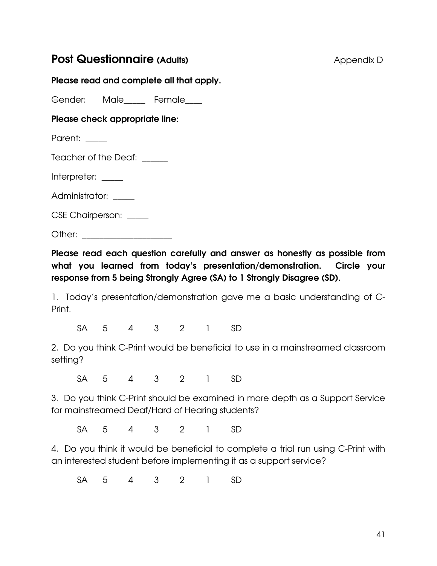### **Post Questionnaire (Adults)** Appendix D

### Please read and complete all that apply.

Gender: Male Female

### Please check appropriate line:

Parent: \_\_\_\_\_

Teacher of the Deaf: \_\_\_\_\_\_

Interpreter: \_\_\_\_\_

Administrator: \_\_\_\_\_

CSE Chairperson: \_\_\_\_\_

Other: \_\_\_\_\_\_\_\_\_\_\_\_\_\_\_\_\_\_\_\_\_

Please read each question carefully and answer as honestly as possible from what you learned from today's presentation/demonstration. Circle your response from 5 being Strongly Agree (SA) to 1 Strongly Disagree (SD).

1. Today's presentation/demonstration gave me a basic understanding of C-Print.

SA 5 4 3 2 1 SD

2. Do you think C-Print would be beneficial to use in a mainstreamed classroom setting?

SA 5 4 3 2 1 SD

3. Do you think C-Print should be examined in more depth as a Support Service for mainstreamed Deaf/Hard of Hearing students?

SA 5 4 3 2 1 SD

4. Do you think it would be beneficial to complete a trial run using C-Print with an interested student before implementing it as a support service?

SA 5 4 3 2 1 SD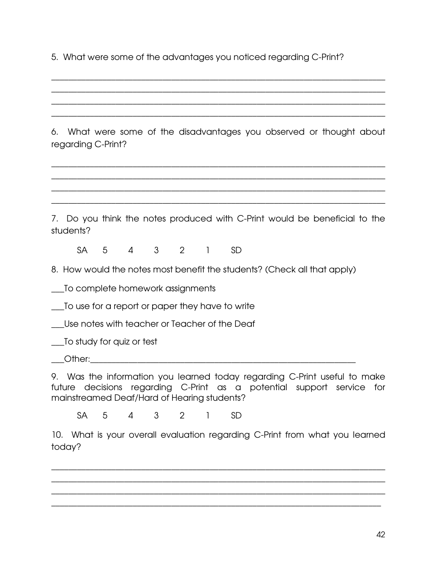5. What were some of the advantages you noticed regarding C-Print?

6. What were some of the disadvantages you observed or thought about regarding C-Print?

\_\_\_\_\_\_\_\_\_\_\_\_\_\_\_\_\_\_\_\_\_\_\_\_\_\_\_\_\_\_\_\_\_\_\_\_\_\_\_\_\_\_\_\_\_\_\_\_\_\_\_\_\_\_\_\_\_\_\_\_\_\_\_\_\_\_\_\_\_\_\_\_\_\_\_\_\_\_ \_\_\_\_\_\_\_\_\_\_\_\_\_\_\_\_\_\_\_\_\_\_\_\_\_\_\_\_\_\_\_\_\_\_\_\_\_\_\_\_\_\_\_\_\_\_\_\_\_\_\_\_\_\_\_\_\_\_\_\_\_\_\_\_\_\_\_\_\_\_\_\_\_\_\_\_\_\_ \_\_\_\_\_\_\_\_\_\_\_\_\_\_\_\_\_\_\_\_\_\_\_\_\_\_\_\_\_\_\_\_\_\_\_\_\_\_\_\_\_\_\_\_\_\_\_\_\_\_\_\_\_\_\_\_\_\_\_\_\_\_\_\_\_\_\_\_\_\_\_\_\_\_\_\_\_\_ \_\_\_\_\_\_\_\_\_\_\_\_\_\_\_\_\_\_\_\_\_\_\_\_\_\_\_\_\_\_\_\_\_\_\_\_\_\_\_\_\_\_\_\_\_\_\_\_\_\_\_\_\_\_\_\_\_\_\_\_\_\_\_\_\_\_\_\_\_\_\_\_\_\_\_\_\_\_

\_\_\_\_\_\_\_\_\_\_\_\_\_\_\_\_\_\_\_\_\_\_\_\_\_\_\_\_\_\_\_\_\_\_\_\_\_\_\_\_\_\_\_\_\_\_\_\_\_\_\_\_\_\_\_\_\_\_\_\_\_\_\_\_\_\_\_\_\_\_\_\_\_\_\_\_\_\_ \_\_\_\_\_\_\_\_\_\_\_\_\_\_\_\_\_\_\_\_\_\_\_\_\_\_\_\_\_\_\_\_\_\_\_\_\_\_\_\_\_\_\_\_\_\_\_\_\_\_\_\_\_\_\_\_\_\_\_\_\_\_\_\_\_\_\_\_\_\_\_\_\_\_\_\_\_\_ \_\_\_\_\_\_\_\_\_\_\_\_\_\_\_\_\_\_\_\_\_\_\_\_\_\_\_\_\_\_\_\_\_\_\_\_\_\_\_\_\_\_\_\_\_\_\_\_\_\_\_\_\_\_\_\_\_\_\_\_\_\_\_\_\_\_\_\_\_\_\_\_\_\_\_\_\_\_ \_\_\_\_\_\_\_\_\_\_\_\_\_\_\_\_\_\_\_\_\_\_\_\_\_\_\_\_\_\_\_\_\_\_\_\_\_\_\_\_\_\_\_\_\_\_\_\_\_\_\_\_\_\_\_\_\_\_\_\_\_\_\_\_\_\_\_\_\_\_\_\_\_\_\_\_\_\_

7. Do you think the notes produced with C-Print would be beneficial to the students?

SA 5 4 3 2 1 SD

8. How would the notes most benefit the students? (Check all that apply)

\_\_\_To complete homework assignments

\_\_\_To use for a report or paper they have to write

\_\_\_Use notes with teacher or Teacher of the Deaf

\_\_\_To study for quiz or test

 $\bigcirc$  ther:

9. Was the information you learned today regarding C-Print useful to make future decisions regarding C-Print as a potential support service for mainstreamed Deaf/Hard of Hearing students?

SA 5 4 3 2 1 SD

10. What is your overall evaluation regarding C-Print from what you learned today?

\_\_\_\_\_\_\_\_\_\_\_\_\_\_\_\_\_\_\_\_\_\_\_\_\_\_\_\_\_\_\_\_\_\_\_\_\_\_\_\_\_\_\_\_\_\_\_\_\_\_\_\_\_\_\_\_\_\_\_\_\_\_\_\_\_\_\_\_\_\_\_\_\_\_\_\_\_\_ \_\_\_\_\_\_\_\_\_\_\_\_\_\_\_\_\_\_\_\_\_\_\_\_\_\_\_\_\_\_\_\_\_\_\_\_\_\_\_\_\_\_\_\_\_\_\_\_\_\_\_\_\_\_\_\_\_\_\_\_\_\_\_\_\_\_\_\_\_\_\_\_\_\_\_\_\_\_ \_\_\_\_\_\_\_\_\_\_\_\_\_\_\_\_\_\_\_\_\_\_\_\_\_\_\_\_\_\_\_\_\_\_\_\_\_\_\_\_\_\_\_\_\_\_\_\_\_\_\_\_\_\_\_\_\_\_\_\_\_\_\_\_\_\_\_\_\_\_\_\_\_\_\_\_\_\_ \_\_\_\_\_\_\_\_\_\_\_\_\_\_\_\_\_\_\_\_\_\_\_\_\_\_\_\_\_\_\_\_\_\_\_\_\_\_\_\_\_\_\_\_\_\_\_\_\_\_\_\_\_\_\_\_\_\_\_\_\_\_\_\_\_\_\_\_\_\_\_\_\_\_\_\_\_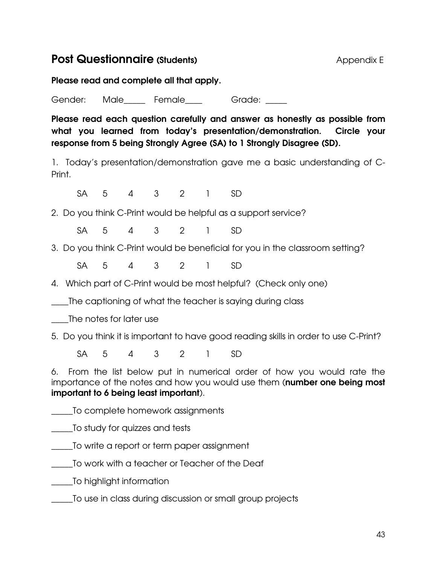### **Post Questionnaire (Students)** Appendix E

Please read and complete all that apply.

Gender: Male Female Grade:

Please read each question carefully and answer as honestly as possible from what you learned from today's presentation/demonstration. Circle your response from 5 being Strongly Agree (SA) to 1 Strongly Disagree (SD).

1. Today's presentation/demonstration gave me a basic understanding of C-Print.

SA 5 4 3 2 1 SD

2. Do you think C-Print would be helpful as a support service?

SA 5 4 3 2 1 SD

3. Do you think C-Print would be beneficial for you in the classroom setting?

SA 5 4 3 2 1 SD

4. Which part of C-Print would be most helpful? (Check only one)

\_\_\_\_The captioning of what the teacher is saying during class

\_\_\_\_The notes for later use

5. Do you think it is important to have good reading skills in order to use C-Print?

SA 5 4 3 2 1 SD

6. From the list below put in numerical order of how you would rate the importance of the notes and how you would use them (number one being most important to 6 being least important).

\_\_\_\_\_To complete homework assignments

\_\_\_\_\_To study for quizzes and tests

To write a report or term paper assignment

\_\_\_\_\_To work with a teacher or Teacher of the Deaf

\_\_\_\_\_To highlight information

\_\_\_\_\_To use in class during discussion or small group projects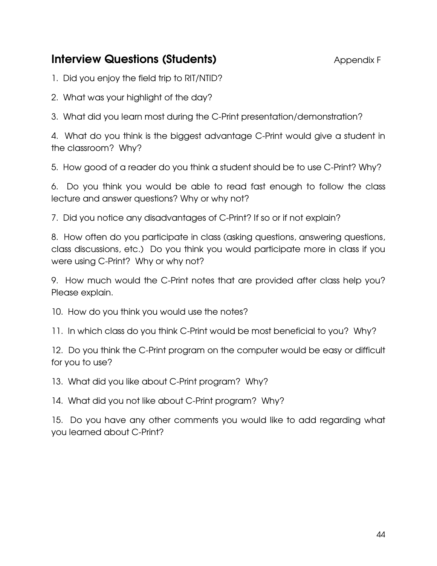### **Interview Questions (Students)** Appendix F

1. Did you enjoy the field trip to RIT/NTID?

2. What was your highlight of the day?

3. What did you learn most during the C-Print presentation/demonstration?

4. What do you think is the biggest advantage C-Print would give a student in the classroom? Why?

5. How good of a reader do you think a student should be to use C-Print? Why?

6. Do you think you would be able to read fast enough to follow the class lecture and answer questions? Why or why not?

7. Did you notice any disadvantages of C-Print? If so or if not explain?

8. How often do you participate in class (asking questions, answering questions, class discussions, etc.) Do you think you would participate more in class if you were using C-Print? Why or why not?

9. How much would the C-Print notes that are provided after class help you? Please explain.

10. How do you think you would use the notes?

11. In which class do you think C-Print would be most beneficial to you? Why?

12. Do you think the C-Print program on the computer would be easy or difficult for you to use?

13. What did you like about C-Print program? Why?

14. What did you not like about C-Print program? Why?

15. Do you have any other comments you would like to add regarding what you learned about C-Print?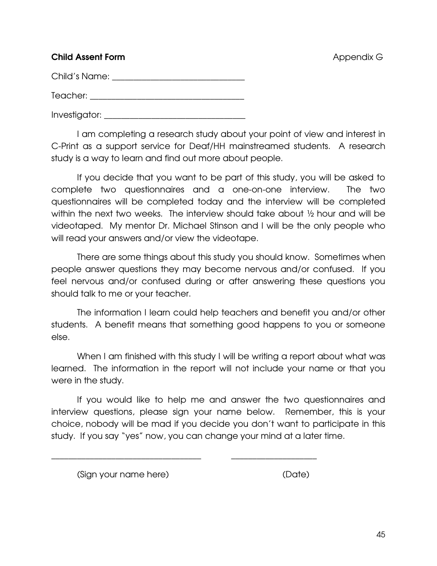### **Child Assent Form Appendix G Child Assent Form** Appendix G

Child's Name:  $\Box$ 

Teacher: \_\_\_\_\_\_\_\_\_\_\_\_\_\_\_\_\_\_\_\_\_\_\_\_\_\_\_\_\_\_\_\_\_\_\_\_

Investigator: \_\_\_\_\_\_\_\_\_\_\_\_\_\_\_\_\_\_\_\_\_\_\_\_\_\_\_\_\_\_\_\_\_

 I am completing a research study about your point of view and interest in C-Print as a support service for Deaf/HH mainstreamed students. A research study is a way to learn and find out more about people.

 If you decide that you want to be part of this study, you will be asked to complete two questionnaires and a one-on-one interview. The two questionnaires will be completed today and the interview will be completed within the next two weeks. The interview should take about ½ hour and will be videotaped. My mentor Dr. Michael Stinson and I will be the only people who will read your answers and/or view the videotape.

 There are some things about this study you should know. Sometimes when people answer questions they may become nervous and/or confused. If you feel nervous and/or confused during or after answering these questions you should talk to me or your teacher.

 The information I learn could help teachers and benefit you and/or other students. A benefit means that something good happens to you or someone else.

When I am finished with this study I will be writing a report about what was learned. The information in the report will not include your name or that you were in the study.

 If you would like to help me and answer the two questionnaires and interview questions, please sign your name below. Remember, this is your choice, nobody will be mad if you decide you don't want to participate in this study. If you say "yes" now, you can change your mind at a later time.

\_\_\_\_\_\_\_\_\_\_\_\_\_\_\_\_\_\_\_\_\_\_\_\_\_\_\_\_\_\_\_\_\_\_\_ \_\_\_\_\_\_\_\_\_\_\_\_\_\_\_\_\_\_\_\_

(Sign your name here) (Date)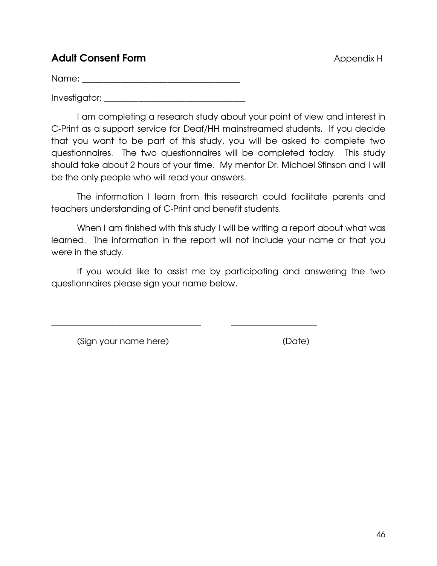### Adult Consent Form **Adult Consent Form** Appendix H

Name:  $\blacksquare$ 

Investigator: \_\_\_\_\_\_\_\_\_\_\_\_\_\_\_\_\_\_\_\_\_\_\_\_\_\_\_\_\_\_\_\_\_

 I am completing a research study about your point of view and interest in C-Print as a support service for Deaf/HH mainstreamed students. If you decide that you want to be part of this study, you will be asked to complete two questionnaires. The two questionnaires will be completed today. This study should take about 2 hours of your time. My mentor Dr. Michael Stinson and I will be the only people who will read your answers.

 The information I learn from this research could facilitate parents and teachers understanding of C-Print and benefit students.

When I am finished with this study I will be writing a report about what was learned. The information in the report will not include your name or that you were in the study.

 If you would like to assist me by participating and answering the two questionnaires please sign your name below.

\_\_\_\_\_\_\_\_\_\_\_\_\_\_\_\_\_\_\_\_\_\_\_\_\_\_\_\_\_\_\_\_\_\_\_ \_\_\_\_\_\_\_\_\_\_\_\_\_\_\_\_\_\_\_\_

(Sign your name here) (Date)